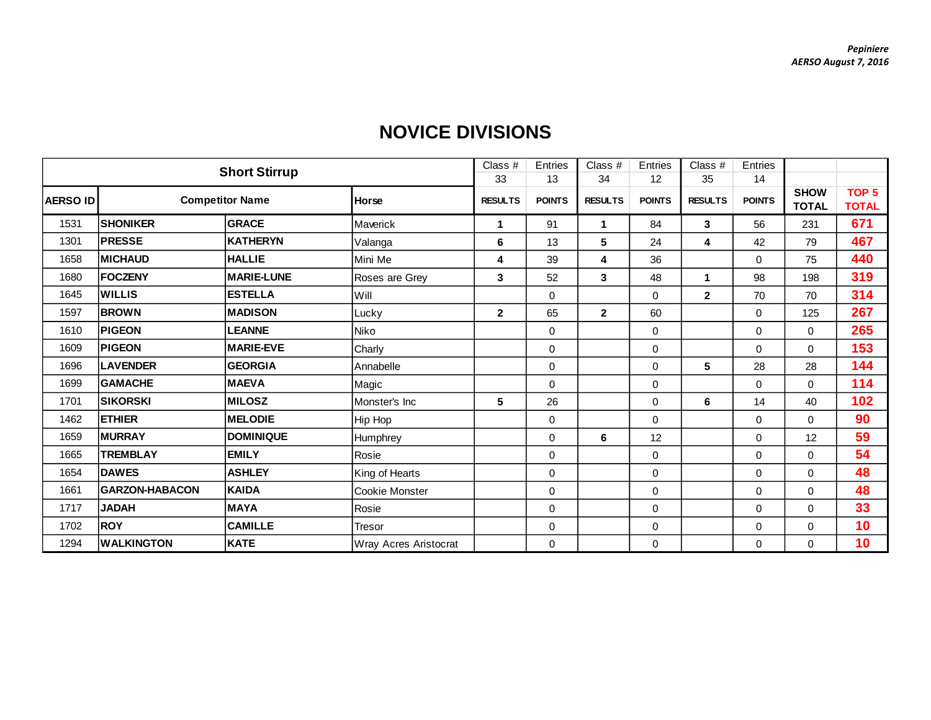|                 | <b>Short Stirrup</b>  |                        |                       |                | Entries       | Class #        | Entries       | Class $#$      | Entries       |                             |                                  |
|-----------------|-----------------------|------------------------|-----------------------|----------------|---------------|----------------|---------------|----------------|---------------|-----------------------------|----------------------------------|
|                 |                       |                        |                       | 33             | 13            | 34             | 12            | 35             | 14            |                             |                                  |
| <b>AERSO ID</b> |                       | <b>Competitor Name</b> | <b>Horse</b>          | <b>RESULTS</b> | <b>POINTS</b> | <b>RESULTS</b> | <b>POINTS</b> | <b>RESULTS</b> | <b>POINTS</b> | <b>SHOW</b><br><b>TOTAL</b> | TOP <sub>5</sub><br><b>TOTAL</b> |
| 1531            | <b>SHONIKER</b>       | <b>GRACE</b>           | Maverick              | $\mathbf 1$    | 91            | 1              | 84            | 3              | 56            | 231                         | 671                              |
| 1301            | <b>PRESSE</b>         | <b>KATHERYN</b>        | Valanga               | 6              | 13            | 5              | 24            | 4              | 42            | 79                          | 467                              |
| 1658            | <b>MICHAUD</b>        | <b>HALLIE</b>          | Mini Me               | 4              | 39            | 4              | 36            |                | $\Omega$      | 75                          | 440                              |
| 1680            | <b>FOCZENY</b>        | <b>MARIE-LUNE</b>      | Roses are Grey        | 3              | 52            | 3              | 48            | $\mathbf 1$    | 98            | 198                         | 319                              |
| 1645            | <b>WILLIS</b>         | <b>ESTELLA</b>         | Will                  |                | $\mathbf 0$   |                | 0             | $\overline{2}$ | 70            | 70                          | 314                              |
| 1597            | <b>BROWN</b>          | <b>MADISON</b>         | Lucky                 | $\mathbf{2}$   | 65            | $\mathbf{2}$   | 60            |                | $\Omega$      | 125                         | 267                              |
| 1610            | <b>PIGEON</b>         | <b>LEANNE</b>          | Niko                  |                | $\mathbf 0$   |                | 0             |                | 0             | $\mathsf{O}\xspace$         | 265                              |
| 1609            | <b>PIGEON</b>         | <b>MARIE-EVE</b>       | Charly                |                | $\mathbf 0$   |                | $\mathbf 0$   |                | 0             | $\mathbf 0$                 | 153                              |
| 1696            | <b>LAVENDER</b>       | <b>GEORGIA</b>         | Annabelle             |                | $\mathbf 0$   |                | $\mathbf 0$   | 5              | 28            | 28                          | 144                              |
| 1699            | <b>GAMACHE</b>        | <b>MAEVA</b>           | Magic                 |                | $\mathbf 0$   |                | $\mathbf 0$   |                | 0             | 0                           | 114                              |
| 1701            | <b>SIKORSKI</b>       | <b>MILOSZ</b>          | Monster's Inc         | 5              | 26            |                | 0             | 6              | 14            | 40                          | 102                              |
| 1462            | <b>ETHIER</b>         | <b>MELODIE</b>         | Hip Hop               |                | $\mathbf 0$   |                | $\mathbf 0$   |                | 0             | $\mathbf 0$                 | 90                               |
| 1659            | <b>MURRAY</b>         | <b>DOMINIQUE</b>       | Humphrey              |                | $\mathbf 0$   | 6              | 12            |                | 0             | 12                          | 59                               |
| 1665            | <b>TREMBLAY</b>       | <b>EMILY</b>           | Rosie                 |                | $\mathbf 0$   |                | 0             |                | $\Omega$      | $\mathbf 0$                 | 54                               |
| 1654            | <b>DAWES</b>          | <b>ASHLEY</b>          | King of Hearts        |                | $\mathbf 0$   |                | 0             |                | 0             | $\mathbf 0$                 | 48                               |
| 1661            | <b>GARZON-HABACON</b> | <b>KAIDA</b>           | Cookie Monster        |                | $\mathbf 0$   |                | $\mathbf 0$   |                | 0             | 0                           | 48                               |
| 1717            | <b>HAQAL</b>          | <b>MAYA</b>            | Rosie                 |                | $\mathbf 0$   |                | 0             |                | 0             | $\mathbf 0$                 | 33                               |
| 1702            | <b>ROY</b>            | <b>CAMILLE</b>         | Tresor                |                | $\mathbf 0$   |                | 0             |                | 0             | 0                           | 10                               |
| 1294            | <b>WALKINGTON</b>     | <b>KATE</b>            | Wray Acres Aristocrat |                | $\mathbf 0$   |                | $\pmb{0}$     |                | 0             | $\mathbf 0$                 | 10                               |

## **NOVICE DIVISIONS**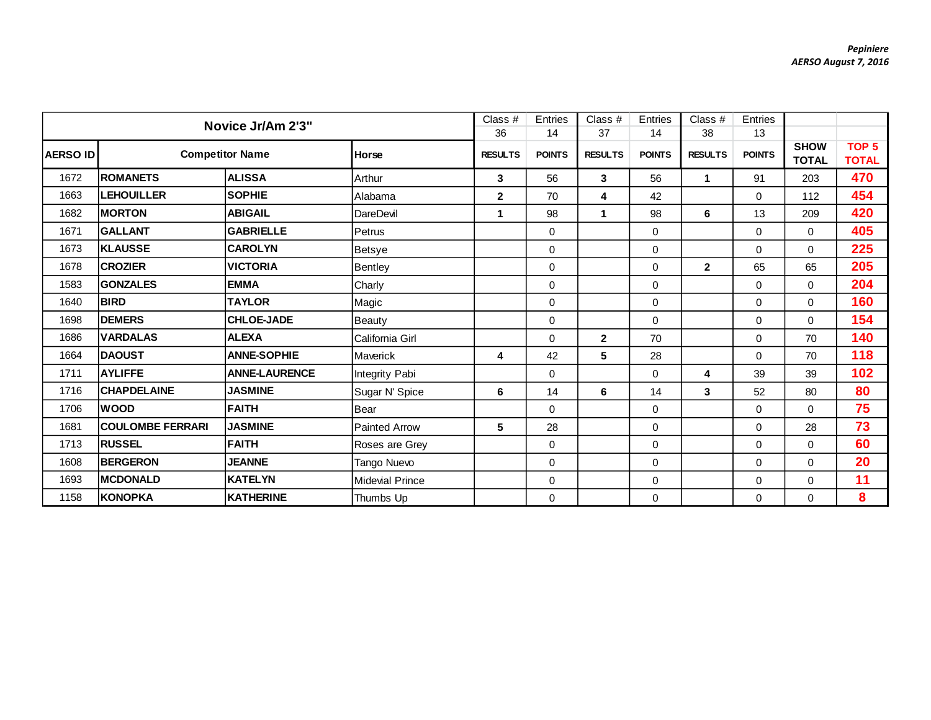|                 | Novice Jr/Am 2'3"       |                      |                        |                | Entries       | Class $#$            | Entries       | Class $#$            | Entries       |                             |                                  |
|-----------------|-------------------------|----------------------|------------------------|----------------|---------------|----------------------|---------------|----------------------|---------------|-----------------------------|----------------------------------|
|                 |                         |                      |                        | 36             | 14            | 37                   | 14            | 38                   | 13            |                             |                                  |
| <b>AERSO ID</b> | <b>Competitor Name</b>  |                      | Horse                  | <b>RESULTS</b> | <b>POINTS</b> | <b>RESULTS</b>       | <b>POINTS</b> | <b>RESULTS</b>       | <b>POINTS</b> | <b>SHOW</b><br><b>TOTAL</b> | TOP <sub>5</sub><br><b>TOTAL</b> |
| 1672            | <b>ROMANETS</b>         | <b>ALISSA</b>        | Arthur                 | 3              | 56            | 3                    | 56            | $\blacktriangleleft$ | 91            | 203                         | 470                              |
| 1663            | <b>LEHOUILLER</b>       | <b>SOPHIE</b>        | Alabama                | $\mathbf{2}$   | 70            | 4                    | 42            |                      | 0             | 112                         | 454                              |
| 1682            | <b>MORTON</b>           | <b>ABIGAIL</b>       | DareDevil              | $\mathbf{1}$   | 98            | $\blacktriangleleft$ | 98            | 6                    | 13            | 209                         | 420                              |
| 1671            | <b>GALLANT</b>          | <b>GABRIELLE</b>     | Petrus                 |                | 0             |                      | 0             |                      | 0             | $\mathbf 0$                 | 405                              |
| 1673            | <b>KLAUSSE</b>          | <b>CAROLYN</b>       | Betsye                 |                | 0             |                      | $\mathbf 0$   |                      | 0             | $\mathbf 0$                 | 225                              |
| 1678            | <b>CROZIER</b>          | <b>VICTORIA</b>      | <b>Bentley</b>         |                | 0             |                      | $\mathbf 0$   | $\overline{2}$       | 65            | 65                          | 205                              |
| 1583            | <b>GONZALES</b>         | <b>EMMA</b>          | Charly                 |                | 0             |                      | $\pmb{0}$     |                      | 0             | $\mathbf 0$                 | 204                              |
| 1640            | <b>BIRD</b>             | <b>TAYLOR</b>        | Magic                  |                | 0             |                      | $\mathbf 0$   |                      | 0             | 0                           | 160                              |
| 1698            | <b>DEMERS</b>           | <b>CHLOE-JADE</b>    | Beauty                 |                | 0             |                      | $\mathbf 0$   |                      | $\Omega$      | $\Omega$                    | 154                              |
| 1686            | <b>VARDALAS</b>         | <b>ALEXA</b>         | California Girl        |                | 0             | $\mathbf{2}$         | 70            |                      | 0             | 70                          | 140                              |
| 1664            | <b>DAOUST</b>           | <b>ANNE-SOPHIE</b>   | Maverick               | 4              | 42            | 5                    | 28            |                      | 0             | 70                          | 118                              |
| 1711            | <b>AYLIFFE</b>          | <b>ANNE-LAURENCE</b> | Integrity Pabi         |                | 0             |                      | $\Omega$      | 4                    | 39            | 39                          | 102                              |
| 1716            | <b>CHAPDELAINE</b>      | <b>JASMINE</b>       | Sugar N' Spice         | $\bf 6$        | 14            | 6                    | 14            | $\mathbf{3}$         | 52            | 80                          | 80                               |
| 1706            | <b>WOOD</b>             | <b>FAITH</b>         | Bear                   |                | 0             |                      | $\mathbf 0$   |                      | $\Omega$      | $\Omega$                    | 75                               |
| 1681            | <b>COULOMBE FERRARI</b> | <b>JASMINE</b>       | <b>Painted Arrow</b>   | $\sqrt{5}$     | 28            |                      | $\mathbf 0$   |                      | $\Omega$      | 28                          | 73                               |
| 1713            | <b>RUSSEL</b>           | <b>FAITH</b>         | Roses are Grey         |                | 0             |                      | $\pmb{0}$     |                      | $\Omega$      | $\Omega$                    | 60                               |
| 1608            | <b>BERGERON</b>         | <b>JEANNE</b>        | Tango Nuevo            |                | 0             |                      | $\mathbf 0$   |                      | 0             | $\Omega$                    | 20                               |
| 1693            | <b>MCDONALD</b>         | <b>KATELYN</b>       | <b>Midevial Prince</b> |                | 0             |                      | $\mathbf 0$   |                      | $\Omega$      | $\Omega$                    | 11                               |
| 1158            | <b>KONOPKA</b>          | <b>KATHERINE</b>     | Thumbs Up              |                | 0             |                      | $\pmb{0}$     |                      | 0             | $\mathbf 0$                 | 8                                |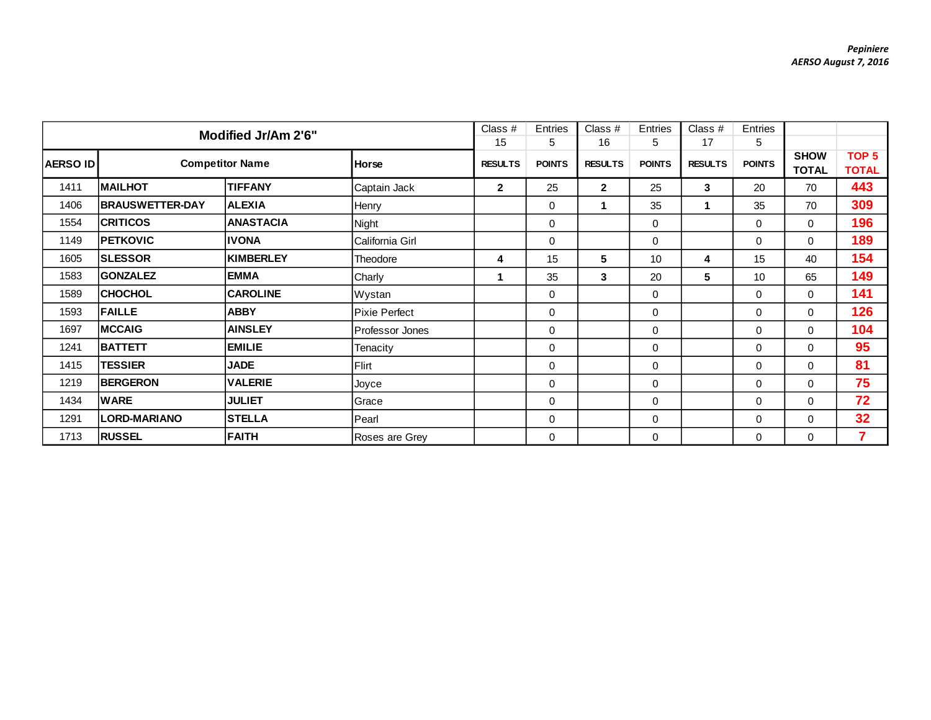|          | Modified Jr/Am 2'6"    |                        |                 |                |               | Class #        | Entries       | Class $#$       | Entries       |                             |                                  |
|----------|------------------------|------------------------|-----------------|----------------|---------------|----------------|---------------|-----------------|---------------|-----------------------------|----------------------------------|
|          |                        |                        |                 | 15             | 5             | 16             | 5             | 17              | 5             |                             |                                  |
| AERSO ID |                        | <b>Competitor Name</b> | <b>Horse</b>    | <b>RESULTS</b> | <b>POINTS</b> | <b>RESULTS</b> | <b>POINTS</b> | <b>RESULTS</b>  | <b>POINTS</b> | <b>SHOW</b><br><b>TOTAL</b> | TOP <sub>5</sub><br><b>TOTAL</b> |
| 1411     | <b>MAILHOT</b>         | <b>TIFFANY</b>         | Captain Jack    | $\mathbf{2}$   | 25            | $\mathbf{2}$   | 25            | $\mathbf{3}$    | 20            | 70                          | 443                              |
| 1406     | <b>BRAUSWETTER-DAY</b> | <b>ALEXIA</b>          | Henry           |                | 0             | 1              | 35            |                 | 35            | 70                          | 309                              |
| 1554     | <b>CRITICOS</b>        | <b>ANASTACIA</b>       | Night           |                | 0             |                | 0             |                 | $\mathbf 0$   | $\mathbf 0$                 | 196                              |
| 1149     | <b>PETKOVIC</b>        | <b>IVONA</b>           | California Girl |                | 0             |                | 0             |                 | $\mathbf 0$   | $\mathbf 0$                 | 189                              |
| 1605     | <b>SLESSOR</b>         | <b>KIMBERLEY</b>       | Theodore        | 4              | 15            | 5              | 10            | 4               | 15            | 40                          | 154                              |
| 1583     | <b>GONZALEZ</b>        | <b>EMMA</b>            | Charly          | 1              | 35            | 3              | 20            | $5\overline{ }$ | 10            | 65                          | 149                              |
| 1589     | <b>CHOCHOL</b>         | <b>CAROLINE</b>        | Wystan          |                | 0             |                | 0             |                 | 0             | $\mathbf 0$                 | 141                              |
| 1593     | <b>FAILLE</b>          | <b>ABBY</b>            | Pixie Perfect   |                | 0             |                | 0             |                 | 0             | $\mathbf 0$                 | 126                              |
| 1697     | <b>MCCAIG</b>          | <b>AINSLEY</b>         | Professor Jones |                | 0             |                | $\mathbf 0$   |                 | 0             | $\Omega$                    | 104                              |
| 1241     | <b>BATTETT</b>         | <b>EMILIE</b>          | Tenacity        |                | 0             |                | $\mathbf 0$   |                 | 0             | $\Omega$                    | 95                               |
| 1415     | <b>TESSIER</b>         | <b>JADE</b>            | <b>Flirt</b>    |                | 0             |                | 0             |                 | $\Omega$      | $\Omega$                    | 81                               |
| 1219     | <b>BERGERON</b>        | <b>VALERIE</b>         | Joyce           |                | 0             |                | 0             |                 | $\Omega$      | $\Omega$                    | 75                               |
| 1434     | <b>WARE</b>            | <b>JULIET</b>          | Grace           |                | 0             |                | 0             |                 | $\Omega$      | $\Omega$                    | 72                               |
| 1291     | <b>LORD-MARIANO</b>    | <b>STELLA</b>          | Pearl           |                | 0             |                | 0             |                 | 0             | 0                           | 32                               |
| 1713     | <b>RUSSEL</b>          | <b>FAITH</b>           | Roses are Grey  |                | 0             |                | $\mathbf 0$   |                 | 0             | $\mathbf 0$                 | 7                                |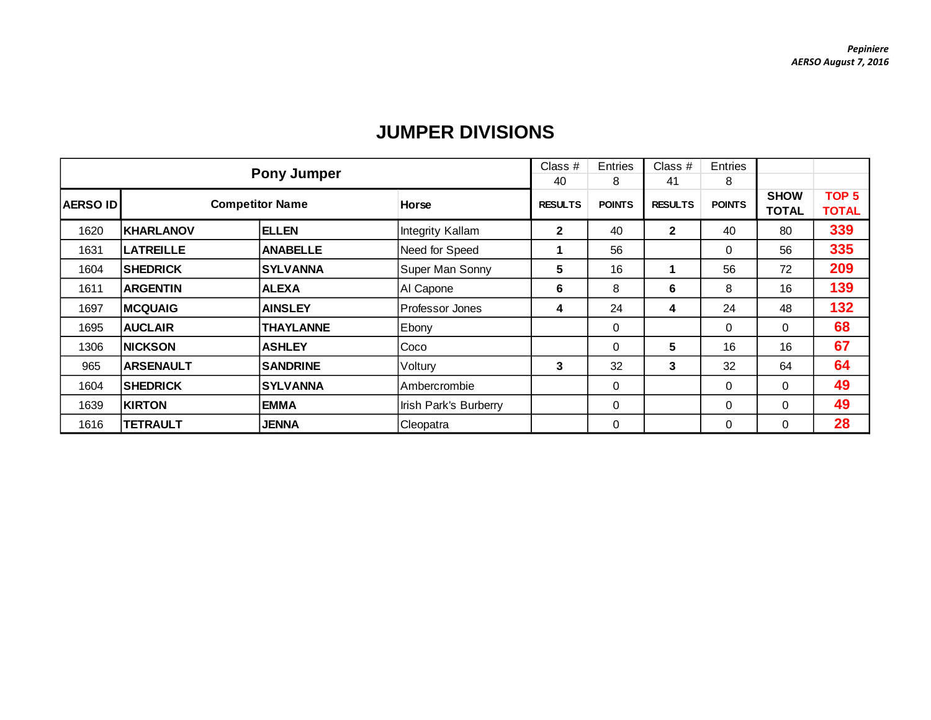|                 |                        | <b>Pony Jumper</b> |                       | Class $#$      | Entries       | Class $#$      | Entries       |              |                  |
|-----------------|------------------------|--------------------|-----------------------|----------------|---------------|----------------|---------------|--------------|------------------|
|                 |                        |                    |                       | 40             | 8             | 41             | 8             |              |                  |
| <b>AERSO ID</b> | <b>Competitor Name</b> | Horse              |                       | <b>RESULTS</b> | <b>POINTS</b> | <b>RESULTS</b> | <b>POINTS</b> | <b>SHOW</b>  | TOP <sub>5</sub> |
|                 |                        |                    |                       |                |               |                |               | <b>TOTAL</b> | <b>TOTAL</b>     |
| 1620            | <b>KHARLANOV</b>       | <b>ELLEN</b>       | Integrity Kallam      | $\mathbf{2}$   | 40            | $\overline{2}$ | 40            | 80           | 339              |
| 1631            | <b>LATREILLE</b>       | <b>ANABELLE</b>    | Need for Speed        |                | 56            |                | $\Omega$      | 56           | 335              |
| 1604            | <b>SHEDRICK</b>        | <b>SYLVANNA</b>    | Super Man Sonny       | 5              | 16            | 1              | 56            | 72           | 209              |
| 1611            | <b>ARGENTIN</b>        | <b>ALEXA</b>       | Al Capone             | 6              | 8             | 6              | 8             | 16           | 139              |
| 1697            | <b>MCQUAIG</b>         | <b>AINSLEY</b>     | Professor Jones       | 4              | 24            | 4              | 24            | 48           | 132              |
| 1695            | <b>AUCLAIR</b>         | <b>THAYLANNE</b>   | Ebony                 |                | 0             |                | $\Omega$      | 0            | 68               |
| 1306            | <b>NICKSON</b>         | <b>ASHLEY</b>      | Coco                  |                | 0             | 5              | 16            | 16           | 67               |
| 965             | <b>ARSENAULT</b>       | <b>SANDRINE</b>    | Voltury               | 3              | 32            | 3              | 32            | 64           | 64               |
| 1604            | <b>SHEDRICK</b>        | <b>SYLVANNA</b>    | Ambercrombie          |                | 0             |                | 0             | 0            | 49               |
| 1639            | <b>KIRTON</b>          | <b>EMMA</b>        | Irish Park's Burberry |                | 0             |                | $\Omega$      | 0            | 49               |
| 1616            | <b>TETRAULT</b>        | <b>JENNA</b>       | Cleopatra             |                | 0             |                | 0             | 0            | 28               |

## **JUMPER DIVISIONS**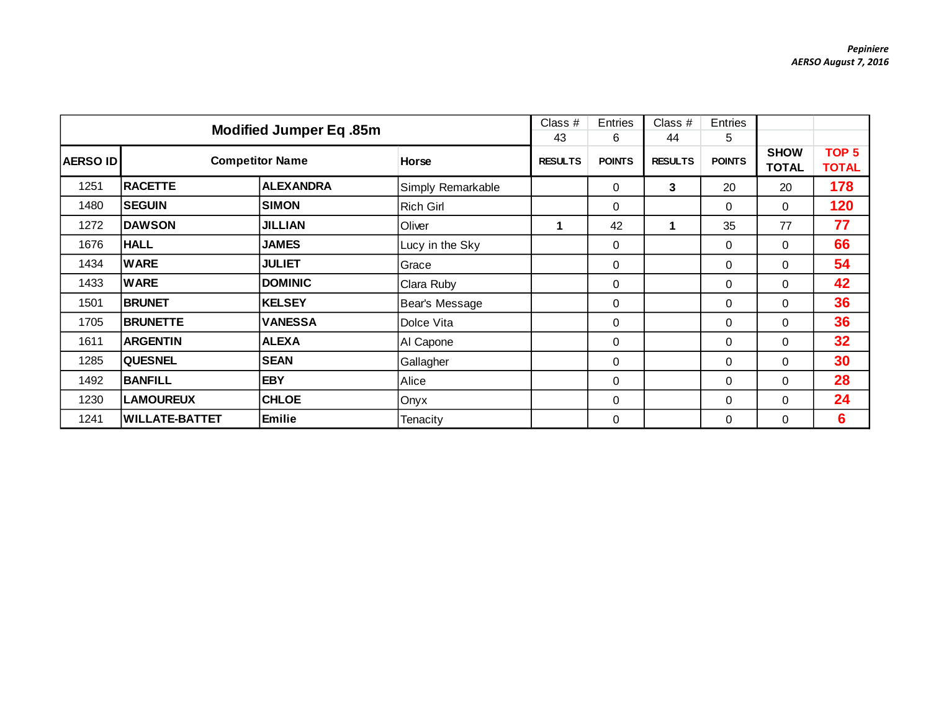|                 | Modified Jumper Eq.85m |                        |                   |                | Entries<br>6  | Class #<br>44  | Entries<br>5  |                             |                                  |
|-----------------|------------------------|------------------------|-------------------|----------------|---------------|----------------|---------------|-----------------------------|----------------------------------|
| <b>AERSO ID</b> |                        | <b>Competitor Name</b> | <b>Horse</b>      | <b>RESULTS</b> | <b>POINTS</b> | <b>RESULTS</b> | <b>POINTS</b> | <b>SHOW</b><br><b>TOTAL</b> | TOP <sub>5</sub><br><b>TOTAL</b> |
| 1251            | <b>RACETTE</b>         | <b>ALEXANDRA</b>       | Simply Remarkable |                | $\mathbf 0$   | 3              | 20            | 20                          | 178                              |
| 1480            | <b>SEGUIN</b>          | <b>SIMON</b>           | <b>Rich Girl</b>  |                | $\mathbf 0$   |                | $\Omega$      | $\Omega$                    | 120                              |
| 1272            | <b>DAWSON</b>          | <b>JILLIAN</b>         | Oliver            | 1              | 42            | 1              | 35            | 77                          | 77                               |
| 1676            | <b>HALL</b>            | <b>JAMES</b>           | Lucy in the Sky   |                | 0             |                | 0             | $\mathbf 0$                 | 66                               |
| 1434            | <b>WARE</b>            | <b>JULIET</b>          | Grace             |                | $\mathbf 0$   |                | $\Omega$      | $\Omega$                    | 54                               |
| 1433            | <b>WARE</b>            | <b>DOMINIC</b>         | Clara Ruby        |                | $\mathbf 0$   |                | $\Omega$      | $\mathbf{0}$                | 42                               |
| 1501            | <b>BRUNET</b>          | <b>KELSEY</b>          | Bear's Message    |                | $\mathbf 0$   |                | $\Omega$      | $\Omega$                    | 36                               |
| 1705            | <b>BRUNETTE</b>        | <b>VANESSA</b>         | Dolce Vita        |                | $\mathbf 0$   |                | 0             | $\mathbf 0$                 | 36                               |
| 1611            | <b>ARGENTIN</b>        | <b>ALEXA</b>           | AI Capone         |                | $\mathbf 0$   |                | $\Omega$      | $\Omega$                    | 32                               |
| 1285            | <b>QUESNEL</b>         | <b>SEAN</b>            | Gallagher         |                | $\mathbf 0$   |                | $\Omega$      | $\mathbf{0}$                | 30                               |
| 1492            | <b>BANFILL</b>         | <b>EBY</b>             | Alice             |                | 0             |                | 0             | $\Omega$                    | 28                               |
| 1230            | <b>LAMOUREUX</b>       | <b>CHLOE</b>           | Onyx              |                | $\mathbf 0$   |                | 0             | $\mathbf{0}$                | 24                               |
| 1241            | <b>WILLATE-BATTET</b>  | Emilie                 | Tenacity          |                | $\mathbf 0$   |                | $\Omega$      | $\mathbf{0}$                | 6                                |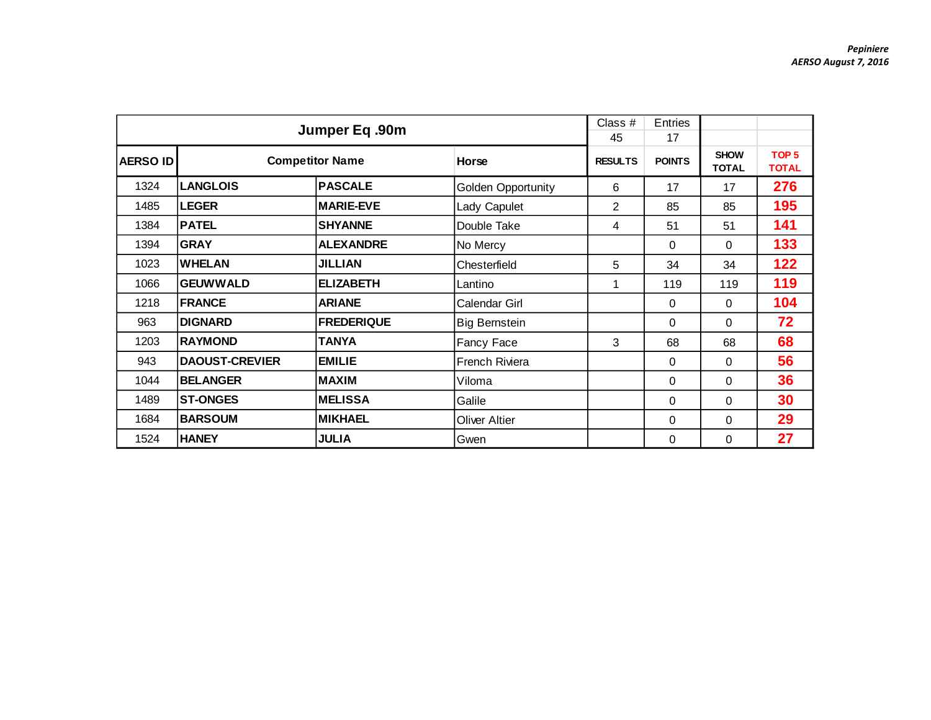|                 |                       | Jumper Eq.90m                   |                      | Class #<br>45  | Entries<br>17 |                             |                                  |
|-----------------|-----------------------|---------------------------------|----------------------|----------------|---------------|-----------------------------|----------------------------------|
| <b>AERSO ID</b> |                       | <b>Competitor Name</b><br>Horse |                      | <b>RESULTS</b> | <b>POINTS</b> | <b>SHOW</b><br><b>TOTAL</b> | TOP <sub>5</sub><br><b>TOTAL</b> |
| 1324            | <b>LANGLOIS</b>       | <b>PASCALE</b>                  | Golden Opportunity   | 6              | 17            | 17                          | 276                              |
| 1485            | <b>LEGER</b>          | <b>MARIE-EVE</b>                | Lady Capulet         | $\overline{2}$ | 85            | 85                          | 195                              |
| 1384            | <b>PATEL</b>          | <b>SHYANNE</b>                  | Double Take          | 4              | 51            | 51                          | 141                              |
| 1394            | <b>GRAY</b>           | <b>ALEXANDRE</b>                | No Mercy             |                | 0             | 0                           | 133                              |
| 1023            | <b>WHELAN</b>         | <b>JILLIAN</b>                  | Chesterfield         | 5              | 34            | 34                          | 122                              |
| 1066            | <b>GEUWWALD</b>       | <b>ELIZABETH</b>                | Lantino              | 1              | 119           | 119                         | 119                              |
| 1218            | <b>FRANCE</b>         | <b>ARIANE</b>                   | Calendar Girl        |                | 0             | 0                           | 104                              |
| 963             | <b>DIGNARD</b>        | <b>FREDERIQUE</b>               | <b>Big Bernstein</b> |                | 0             | $\Omega$                    | 72                               |
| 1203            | <b>RAYMOND</b>        | <b>TANYA</b>                    | Fancy Face           | 3              | 68            | 68                          | 68                               |
| 943             | <b>DAOUST-CREVIER</b> | <b>EMILIE</b>                   | French Riviera       |                | $\Omega$      | $\Omega$                    | 56                               |
| 1044            | <b>BELANGER</b>       | <b>MAXIM</b>                    | Viloma               |                | 0             | $\Omega$                    | 36                               |
| 1489            | <b>ST-ONGES</b>       | <b>MELISSA</b>                  | Galile               |                | 0             | $\Omega$                    | 30                               |
| 1684            | <b>BARSOUM</b>        | <b>MIKHAEL</b>                  | <b>Oliver Altier</b> |                | 0             | $\Omega$                    | 29                               |
| 1524            | <b>HANEY</b>          | <b>JULIA</b>                    | Gwen                 |                | 0             | $\Omega$                    | 27                               |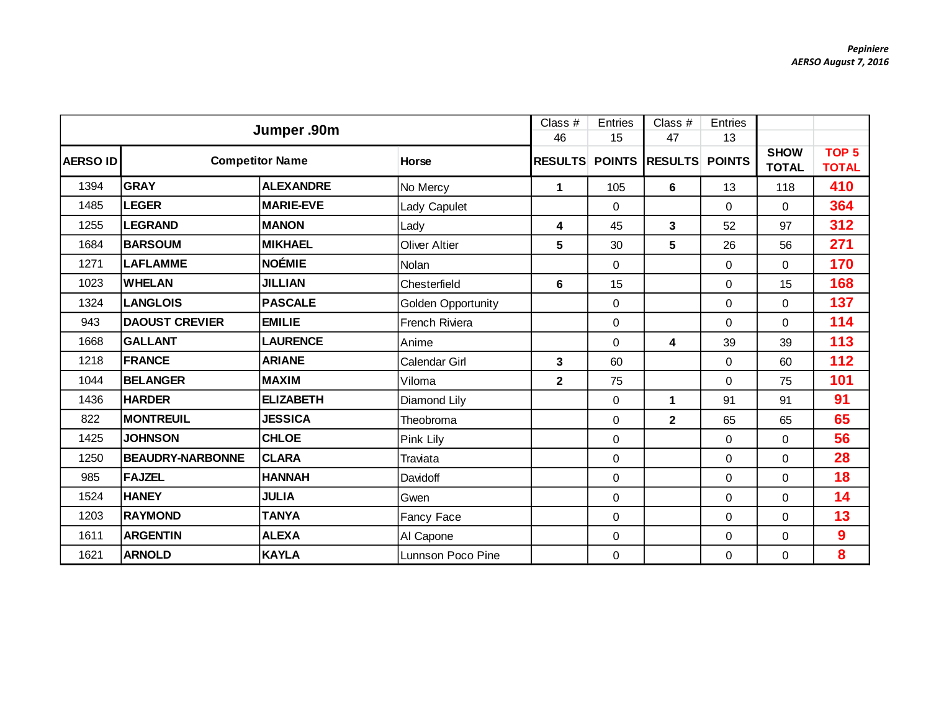| Jumper .90m     |                         |                        |                      |                         | <b>Entries</b> | Class #        | Entries       |                             |                                  |
|-----------------|-------------------------|------------------------|----------------------|-------------------------|----------------|----------------|---------------|-----------------------------|----------------------------------|
|                 |                         |                        |                      | 46                      | 15             | 47             | 13            |                             |                                  |
| <b>AERSO ID</b> |                         | <b>Competitor Name</b> | Horse                | <b>RESULTS</b>          | <b>POINTS</b>  | <b>RESULTS</b> | <b>POINTS</b> | <b>SHOW</b><br><b>TOTAL</b> | TOP <sub>5</sub><br><b>TOTAL</b> |
| 1394            | <b>GRAY</b>             | <b>ALEXANDRE</b>       | No Mercy             | $\mathbf{1}$            | 105            | 6              | 13            | 118                         | 410                              |
| 1485            | <b>LEGER</b>            | <b>MARIE-EVE</b>       | Lady Capulet         |                         | $\mathbf{O}$   |                | $\mathbf{0}$  | $\overline{0}$              | 364                              |
| 1255            | <b>LEGRAND</b>          | <b>MANON</b>           | Lady                 | 4                       | 45             | 3              | 52            | 97                          | 312                              |
| 1684            | <b>BARSOUM</b>          | <b>MIKHAEL</b>         | <b>Oliver Altier</b> | 5                       | 30             | 5              | 26            | 56                          | 271                              |
| 1271            | <b>LAFLAMME</b>         | <b>NOÉMIE</b>          | Nolan                |                         | $\mathbf 0$    |                | $\Omega$      | $\Omega$                    | 170                              |
| 1023            | <b>WHELAN</b>           | <b>JILLIAN</b>         | Chesterfield         | 6                       | 15             |                | $\Omega$      | 15                          | 168                              |
| 1324            | <b>LANGLOIS</b>         | <b>PASCALE</b>         | Golden Opportunity   |                         | $\mathbf 0$    |                | $\mathbf 0$   | $\overline{0}$              | 137                              |
| 943             | <b>DAOUST CREVIER</b>   | <b>EMILIE</b>          | French Riviera       |                         | $\mathbf 0$    |                | $\Omega$      | $\overline{0}$              | 114                              |
| 1668            | <b>GALLANT</b>          | <b>LAURENCE</b>        | Anime                |                         | 0              | 4              | 39            | 39                          | 113                              |
| 1218            | <b>FRANCE</b>           | <b>ARIANE</b>          | Calendar Girl        | 3                       | 60             |                | $\mathbf 0$   | 60                          | 112                              |
| 1044            | <b>BELANGER</b>         | <b>MAXIM</b>           | Viloma               | $\overline{\mathbf{2}}$ | 75             |                | $\Omega$      | 75                          | 101                              |
| 1436            | <b>HARDER</b>           | <b>ELIZABETH</b>       | Diamond Lily         |                         | $\mathbf 0$    | $\mathbf{1}$   | 91            | 91                          | 91                               |
| 822             | <b>MONTREUIL</b>        | <b>JESSICA</b>         | Theobroma            |                         | $\mathbf 0$    | $\mathbf{2}$   | 65            | 65                          | 65                               |
| 1425            | <b>JOHNSON</b>          | <b>CHLOE</b>           | Pink Lily            |                         | $\mathbf 0$    |                | $\Omega$      | $\Omega$                    | 56                               |
| 1250            | <b>BEAUDRY-NARBONNE</b> | <b>CLARA</b>           | Traviata             |                         | 0              |                | $\Omega$      | $\Omega$                    | 28                               |
| 985             | <b>FAJZEL</b>           | <b>HANNAH</b>          | Davidoff             |                         | 0              |                | $\Omega$      | $\Omega$                    | 18                               |
| 1524            | <b>HANEY</b>            | <b>JULIA</b>           | Gwen                 |                         | $\mathbf 0$    |                | $\Omega$      | $\Omega$                    | 14                               |
| 1203            | <b>RAYMOND</b>          | <b>TANYA</b>           | Fancy Face           |                         | $\mathbf 0$    |                | $\Omega$      | $\overline{0}$              | 13                               |
| 1611            | <b>ARGENTIN</b>         | <b>ALEXA</b>           | AI Capone            |                         | $\mathbf 0$    |                | 0             | 0                           | 9                                |
| 1621            | <b>ARNOLD</b>           | <b>KAYLA</b>           | Lunnson Poco Pine    |                         | 0              |                | 0             | 0                           | 8                                |